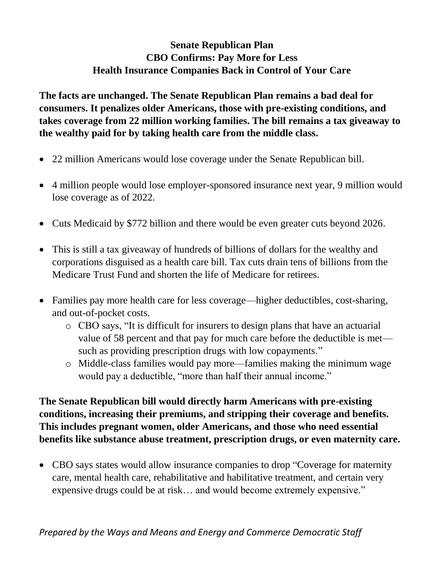## **Senate Republican Plan CBO Confirms: Pay More for Less Health Insurance Companies Back in Control of Your Care**

**The facts are unchanged. The Senate Republican Plan remains a bad deal for consumers. It penalizes older Americans, those with pre-existing conditions, and takes coverage from 22 million working families. The bill remains a tax giveaway to the wealthy paid for by taking health care from the middle class.** 

- 22 million Americans would lose coverage under the Senate Republican bill.
- 4 million people would lose employer-sponsored insurance next year, 9 million would lose coverage as of 2022.
- Cuts Medicaid by \$772 billion and there would be even greater cuts beyond 2026.
- This is still a tax giveaway of hundreds of billions of dollars for the wealthy and corporations disguised as a health care bill. Tax cuts drain tens of billions from the Medicare Trust Fund and shorten the life of Medicare for retirees.
- Families pay more health care for less coverage—higher deductibles, cost-sharing, and out-of-pocket costs.
	- o CBO says, "It is difficult for insurers to design plans that have an actuarial value of 58 percent and that pay for much care before the deductible is met such as providing prescription drugs with low copayments."
	- o Middle-class families would pay more—families making the minimum wage would pay a deductible, "more than half their annual income."

**The Senate Republican bill would directly harm Americans with pre-existing conditions, increasing their premiums, and stripping their coverage and benefits. This includes pregnant women, older Americans, and those who need essential benefits like substance abuse treatment, prescription drugs, or even maternity care.** 

 CBO says states would allow insurance companies to drop "Coverage for maternity care, mental health care, rehabilitative and habilitative treatment, and certain very expensive drugs could be at risk… and would become extremely expensive."